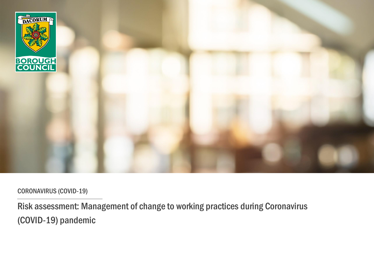

CORONAVIRUS (COVID-19)

Risk assessment: Management of change to working practices during Coronavirus (COVID-19) pandemic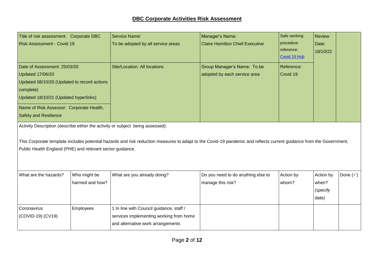| Title of risk assessment: Corporate DBC                                                                                                               |                                 | <b>Service Name:</b>                                                                                                                                                | Manager's Name:                                             | Safe working                            | <b>Review</b>                           |                    |
|-------------------------------------------------------------------------------------------------------------------------------------------------------|---------------------------------|---------------------------------------------------------------------------------------------------------------------------------------------------------------------|-------------------------------------------------------------|-----------------------------------------|-----------------------------------------|--------------------|
| <b>Risk Assessment - Covid 19</b>                                                                                                                     |                                 | To be adopted by all service areas                                                                                                                                  | <b>Claire Hamilton Chief Executive</b>                      | procedure<br>reference:<br>Covid 19 Hub | Date:<br>18/10/22                       |                    |
| Date of Assessment: 25/03/20<br>Updated 17/06/20<br>Updated 08/10/20 (Updated to record actions<br>complete)<br>Updated 18/10/21 (Updated hyperlinks) |                                 | Site/Location: All locations                                                                                                                                        | Group Manager's Name: To be<br>adopted by each service area | Reference:<br>Covid 19                  |                                         |                    |
| Name of Risk Assessor: Corporate Health,<br><b>Safety and Resilience</b>                                                                              |                                 |                                                                                                                                                                     |                                                             |                                         |                                         |                    |
| Public Health England (PHE) and relevant sector guidance.                                                                                             |                                 | This Corporate template includes potential hazards and risk reduction measures to adapt to the Covid-19 pandemic and reflects current guidance from the Government, |                                                             |                                         |                                         |                    |
| What are the hazards?                                                                                                                                 | Who might be<br>harmed and how? | What are you already doing?                                                                                                                                         | Do you need to do anything else to<br>manage this risk?     | Action by<br>whom?                      | Action by<br>when?<br>(specify<br>date) | Done $(\check{y})$ |
| Coronavirus<br>(COVID-19) (CV19)                                                                                                                      | Employees                       | 1 In line with Council guidance, staff /                                                                                                                            |                                                             |                                         |                                         |                    |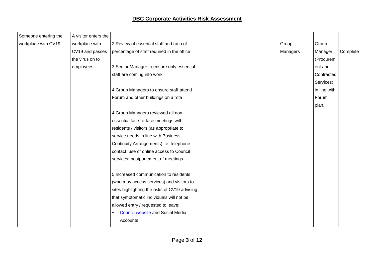| Someone entering the | A visitor enters the |                                               |          |              |          |
|----------------------|----------------------|-----------------------------------------------|----------|--------------|----------|
| workplace with CV19  | workplace with       | 2 Review of essential staff and ratio of      | Group    | Group        |          |
|                      | CV19 and passes      | percentage of staff required in the office    | Managers | Manager      | Complete |
|                      | the virus on to      |                                               |          | (Procurem    |          |
|                      | employees            | 3 Senior Manager to ensure only essential     |          | ent and      |          |
|                      |                      | staff are coming into work                    |          | Contracted   |          |
|                      |                      |                                               |          | Services)    |          |
|                      |                      | 4 Group Managers to ensure staff attend       |          | in line with |          |
|                      |                      | Forum and other buildings on a rota           |          | Forum        |          |
|                      |                      |                                               |          | plan.        |          |
|                      |                      | 4 Group Managers reviewed all non-            |          |              |          |
|                      |                      | essential face-to-face meetings with          |          |              |          |
|                      |                      | residents / visitors (as appropriate to       |          |              |          |
|                      |                      | service needs in line with Business           |          |              |          |
|                      |                      | Continuity Arrangements) i.e. telephone       |          |              |          |
|                      |                      | contact; use of online access to Council      |          |              |          |
|                      |                      | services; postponement of meetings            |          |              |          |
|                      |                      | 5 Increased communication to residents        |          |              |          |
|                      |                      | (who may access services) and visitors to     |          |              |          |
|                      |                      | sites highlighting the risks of CV19 advising |          |              |          |
|                      |                      | that symptomatic individuals will not be      |          |              |          |
|                      |                      | allowed entry / requested to leave:           |          |              |          |
|                      |                      | <b>Council website</b> and Social Media       |          |              |          |
|                      |                      | Accounts                                      |          |              |          |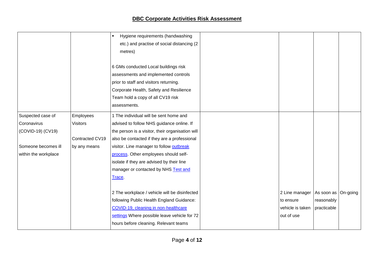|                      |                                 | Hygiene requirements (handwashing<br>etc.) and practise of social distancing (2<br>metres)                                                                                                             |                  |                       |  |
|----------------------|---------------------------------|--------------------------------------------------------------------------------------------------------------------------------------------------------------------------------------------------------|------------------|-----------------------|--|
|                      |                                 | 6 GMs conducted Local buildings risk<br>assessments and implemented controls<br>prior to staff and visitors returning.<br>Corporate Health, Safety and Resilience<br>Team hold a copy of all CV19 risk |                  |                       |  |
|                      |                                 | assessments.                                                                                                                                                                                           |                  |                       |  |
| Suspected case of    | Employees                       | 1 The individual will be sent home and                                                                                                                                                                 |                  |                       |  |
| Coronavirus          | <b>Visitors</b>                 | advised to follow NHS guidance online. If                                                                                                                                                              |                  |                       |  |
| (COVID-19) (CV19)    |                                 | the person is a visitor, their organisation will                                                                                                                                                       |                  |                       |  |
| Someone becomes ill  | Contracted CV19<br>by any means | also be contacted if they are a professional<br>visitor. Line manager to follow outbreak                                                                                                               |                  |                       |  |
| within the workplace |                                 | process. Other employees should self-                                                                                                                                                                  |                  |                       |  |
|                      |                                 | isolate if they are advised by their line                                                                                                                                                              |                  |                       |  |
|                      |                                 | manager or contacted by NHS Test and                                                                                                                                                                   |                  |                       |  |
|                      |                                 | <b>Trace</b>                                                                                                                                                                                           |                  |                       |  |
|                      |                                 |                                                                                                                                                                                                        |                  |                       |  |
|                      |                                 | 2 The workplace / vehicle will be disinfected                                                                                                                                                          | 2 Line manager   | As soon as   On-going |  |
|                      |                                 | following Public Health England Guidance:                                                                                                                                                              | to ensure        | reasonably            |  |
|                      |                                 | COVID-19, cleaning in non-healthcare                                                                                                                                                                   | vehicle is taken | practicable           |  |
|                      |                                 | settings Where possible leave vehicle for 72                                                                                                                                                           | out of use       |                       |  |
|                      |                                 | hours before cleaning. Relevant teams                                                                                                                                                                  |                  |                       |  |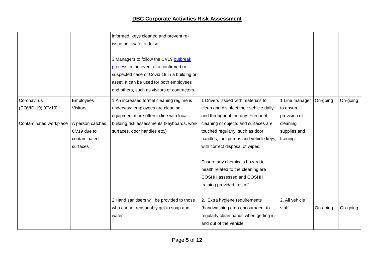|                        |                  | informed, keys cleaned and prevent re-<br>issue until safe to do so.                                                                                                                                                        |                                                                |                |          |          |
|------------------------|------------------|-----------------------------------------------------------------------------------------------------------------------------------------------------------------------------------------------------------------------------|----------------------------------------------------------------|----------------|----------|----------|
|                        |                  | 3 Managers to follow the CV19 outbreak<br>process in the event of a confirmed or<br>suspected case of Covid 19 in a building or<br>asset. It can be used for both employees<br>and others, such as visitors or contractors. |                                                                |                |          |          |
| Coronavirus            | Employees        | 1 An increased formal cleaning regime is                                                                                                                                                                                    | 1 Drivers issued with materials to                             | 1 Line manager | On-going | On-going |
| (COVID-19) (CV19)      | <b>Visitors</b>  | underway; employees are cleaning                                                                                                                                                                                            | clean and disinfect their vehicle daily                        | to ensure      |          |          |
|                        |                  | equipment more often in line with local                                                                                                                                                                                     | and throughout the day. Frequent                               | provision of   |          |          |
| Contaminated workplace | A person catches | building risk assessments (keyboards, work                                                                                                                                                                                  | cleaning of objects and surfaces are                           | cleaning       |          |          |
|                        | CV19 due to      | surfaces, door handles etc.)                                                                                                                                                                                                | touched regularly, such as door                                | supplies and   |          |          |
|                        | contaminated     |                                                                                                                                                                                                                             | handles, fuel pumps and vehicle keys,                          | training       |          |          |
|                        | surfaces         |                                                                                                                                                                                                                             | with correct disposal of wipes.                                |                |          |          |
|                        |                  |                                                                                                                                                                                                                             |                                                                |                |          |          |
|                        |                  |                                                                                                                                                                                                                             | Ensure any chemicals hazard to                                 |                |          |          |
|                        |                  |                                                                                                                                                                                                                             | health related to the cleaning are<br>COSHH assessed and COSHH |                |          |          |
|                        |                  |                                                                                                                                                                                                                             | training provided to staff.                                    |                |          |          |
|                        |                  |                                                                                                                                                                                                                             |                                                                |                |          |          |
|                        |                  | 2 Hand sanitisers will be provided to those                                                                                                                                                                                 | 2. Extra hygiene requirements                                  | 2. All vehicle |          |          |
|                        |                  | who cannot reasonably get to soap and                                                                                                                                                                                       | (handwashing etc.) encouraged to                               | staff          | On-going | On-going |
|                        |                  | water                                                                                                                                                                                                                       | regularly clean hands when getting in                          |                |          |          |
|                        |                  |                                                                                                                                                                                                                             | and out of the vehicle                                         |                |          |          |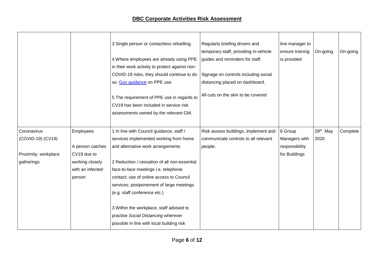|                      |                  | 3 Single person or contactless refuelling.<br>4 Where employees are already using PPE<br>in their work activity to protect against non-<br>COVID-19 risks, they should continue to do | Regularly briefing drivers and<br>temporary staff, providing in-vehicle<br>guides and reminders for staff.<br>Signage on controls including social | line manager to<br>ensure training<br>is provided | On-going | On-going |
|----------------------|------------------|---------------------------------------------------------------------------------------------------------------------------------------------------------------------------------------|----------------------------------------------------------------------------------------------------------------------------------------------------|---------------------------------------------------|----------|----------|
|                      |                  | so. Gov guidance on PPE use.                                                                                                                                                          | distancing placed on dashboard.                                                                                                                    |                                                   |          |          |
|                      |                  | 5 The requirement of PPE use in regards to<br>CV19 has been included in service risk<br>assessments owned by the relevant GM.                                                         | All cuts on the skin to be covered                                                                                                                 |                                                   |          |          |
| Coronavirus          | Employees        | 1 In line with Council guidance, staff /                                                                                                                                              | Risk assess buildings, implement and                                                                                                               | 6 Group                                           | 29th May | Complete |
| (COVID-19) (CV19)    |                  | services implemented working from home                                                                                                                                                | communicate controls to all relevant                                                                                                               | Managers with                                     | 2020     |          |
|                      | A person catches | and alternative work arrangements                                                                                                                                                     | people.                                                                                                                                            | responsibility                                    |          |          |
| Proximity, workplace | CV19 due to      |                                                                                                                                                                                       |                                                                                                                                                    | for Buildings                                     |          |          |
| gatherings           | working closely  | 2 Reduction / cessation of all non-essential                                                                                                                                          |                                                                                                                                                    |                                                   |          |          |
|                      | with an infected | face-to-face meetings i.e. telephone                                                                                                                                                  |                                                                                                                                                    |                                                   |          |          |
|                      | person           | contact; use of online access to Council                                                                                                                                              |                                                                                                                                                    |                                                   |          |          |
|                      |                  | services; postponement of large meetings                                                                                                                                              |                                                                                                                                                    |                                                   |          |          |
|                      |                  | (e.g. staff conference etc.)                                                                                                                                                          |                                                                                                                                                    |                                                   |          |          |
|                      |                  | 3 Within the workplace, staff advised to<br>practise Social Distancing wherever<br>possible in line with local building risk                                                          |                                                                                                                                                    |                                                   |          |          |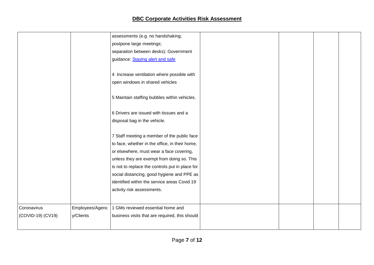|                   |                 | assessments (e.g. no handshaking;               |  |  |
|-------------------|-----------------|-------------------------------------------------|--|--|
|                   |                 | postpone large meetings;                        |  |  |
|                   |                 | separation between desks): Government           |  |  |
|                   |                 | guidance: Staying alert and safe                |  |  |
|                   |                 |                                                 |  |  |
|                   |                 | 4 Increase ventilation where possible with      |  |  |
|                   |                 | open windows in shared vehicles                 |  |  |
|                   |                 |                                                 |  |  |
|                   |                 | 5 Maintain staffing bubbles within vehicles.    |  |  |
|                   |                 |                                                 |  |  |
|                   |                 | 6 Drivers are issued with tissues and a         |  |  |
|                   |                 | disposal bag in the vehicle.                    |  |  |
|                   |                 |                                                 |  |  |
|                   |                 | 7 Staff meeting a member of the public face     |  |  |
|                   |                 | to face, whether in the office, in their home,  |  |  |
|                   |                 | or elsewhere, must wear a face covering,        |  |  |
|                   |                 | unless they are exempt from doing so. This      |  |  |
|                   |                 | is not to replace the controls put in place for |  |  |
|                   |                 | social distancing, good hygiene and PPE as      |  |  |
|                   |                 | identified within the service areas Covid 19    |  |  |
|                   |                 | activity risk assessments.                      |  |  |
|                   |                 |                                                 |  |  |
| Coronavirus       | Employees/Agenc | 1 GMs reviewed essential home and               |  |  |
| (COVID-19) (CV19) | y/Clients       | business visits that are required, this should  |  |  |
|                   |                 |                                                 |  |  |
|                   |                 |                                                 |  |  |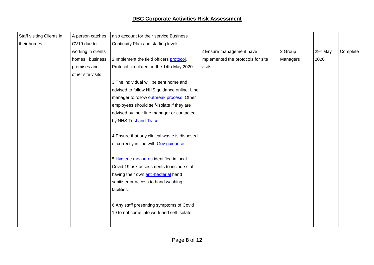| Staff visiting Clients in | A person catches   | also account for their service Business      |                                    |          |          |          |
|---------------------------|--------------------|----------------------------------------------|------------------------------------|----------|----------|----------|
| their homes               | CV19 due to        | Continuity Plan and staffing levels.         |                                    |          |          |          |
|                           | working in clients |                                              | 2 Ensure management have           | 2 Group  | 29th May | Complete |
|                           | homes, business    | 2 Implement the field officers protocol.     | implemented the protocols for site | Managers | 2020     |          |
|                           | premises and       | Protocol circulated on the 14th May 2020.    | visits.                            |          |          |          |
|                           | other site visits  |                                              |                                    |          |          |          |
|                           |                    | 3 The individual will be sent home and       |                                    |          |          |          |
|                           |                    | advised to follow NHS guidance online. Line  |                                    |          |          |          |
|                           |                    | manager to follow outbreak process. Other    |                                    |          |          |          |
|                           |                    | employees should self-isolate if they are    |                                    |          |          |          |
|                           |                    | advised by their line manager or contacted   |                                    |          |          |          |
|                           |                    | by NHS Test and Trace.                       |                                    |          |          |          |
|                           |                    |                                              |                                    |          |          |          |
|                           |                    | 4 Ensure that any clinical waste is disposed |                                    |          |          |          |
|                           |                    | of correctly in line with Gov guidance.      |                                    |          |          |          |
|                           |                    |                                              |                                    |          |          |          |
|                           |                    | 5 Hygiene measures identified in local       |                                    |          |          |          |
|                           |                    | Covid 19 risk assessments to include staff   |                                    |          |          |          |
|                           |                    | having their own anti-bacterial hand         |                                    |          |          |          |
|                           |                    | sanitiser or access to hand washing          |                                    |          |          |          |
|                           |                    | facilities.                                  |                                    |          |          |          |
|                           |                    |                                              |                                    |          |          |          |
|                           |                    | 6 Any staff presenting symptoms of Covid     |                                    |          |          |          |
|                           |                    | 19 to not come into work and self-isolate    |                                    |          |          |          |
|                           |                    |                                              |                                    |          |          |          |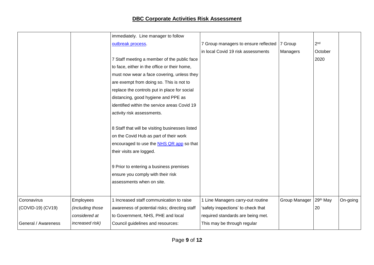|                                       | immediately. Line manager to follow             |                                      |               |                      |          |
|---------------------------------------|-------------------------------------------------|--------------------------------------|---------------|----------------------|----------|
|                                       | outbreak process.                               | 7 Group managers to ensure reflected | 7 Group       | 2 <sub>nd</sub>      |          |
|                                       |                                                 | in local Covid 19 risk assessments   | Managers      | October              |          |
|                                       | 7 Staff meeting a member of the public face     |                                      |               | 2020                 |          |
|                                       | to face, either in the office or their home,    |                                      |               |                      |          |
|                                       | must now wear a face covering, unless they      |                                      |               |                      |          |
|                                       | are exempt from doing so. This is not to        |                                      |               |                      |          |
|                                       | replace the controls put in place for social    |                                      |               |                      |          |
|                                       | distancing, good hygiene and PPE as             |                                      |               |                      |          |
|                                       | identified within the service areas Covid 19    |                                      |               |                      |          |
|                                       | activity risk assessments.                      |                                      |               |                      |          |
|                                       |                                                 |                                      |               |                      |          |
|                                       | 8 Staff that will be visiting businesses listed |                                      |               |                      |          |
|                                       | on the Covid Hub as part of their work          |                                      |               |                      |          |
|                                       | encouraged to use the NHS QR app so that        |                                      |               |                      |          |
|                                       | their visits are logged.                        |                                      |               |                      |          |
|                                       |                                                 |                                      |               |                      |          |
|                                       | 9 Prior to entering a business premises         |                                      |               |                      |          |
|                                       | ensure you comply with their risk               |                                      |               |                      |          |
|                                       | assessments when on site.                       |                                      |               |                      |          |
|                                       |                                                 |                                      |               |                      |          |
| Coronavirus<br>Employees              | 1 Increased staff communication to raise        | 1 Line Managers carry-out routine    | Group Manager | 29 <sup>th</sup> May | On-going |
|                                       |                                                 |                                      |               |                      |          |
| (COVID-19) (CV19)<br>(including those | awareness of potential risks; directing staff   | 'safety inspections' to check that   |               | 20                   |          |
| considered at                         | to Government, NHS, PHE and local               | required standards are being met.    |               |                      |          |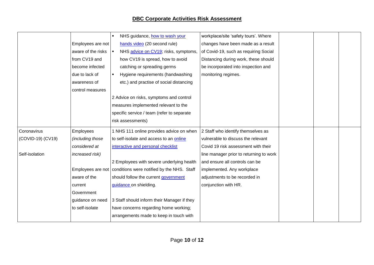|                   |                    | NHS guidance, how to wash your                                 | workplace/site 'safety tours'. Where    |  |  |
|-------------------|--------------------|----------------------------------------------------------------|-----------------------------------------|--|--|
|                   | Employees are not  | hands video (20 second rule)                                   | changes have been made as a result      |  |  |
|                   | aware of the risks | NHS advice on CV19; risks, symptoms,                           | of Covid-19, such as requiring Social   |  |  |
|                   | from CV19 and      | how CV19 is spread, how to avoid                               | Distancing during work, these should    |  |  |
|                   | become infected    | catching or spreading germs                                    | be incorporated into inspection and     |  |  |
|                   | due to lack of     | Hygiene requirements (handwashing                              | monitoring regimes.                     |  |  |
|                   | awareness of       | etc.) and practise of social distancing                        |                                         |  |  |
|                   | control measures   |                                                                |                                         |  |  |
|                   |                    | 2 Advice on risks, symptoms and control                        |                                         |  |  |
|                   |                    | measures implemented relevant to the                           |                                         |  |  |
|                   |                    | specific service / team (refer to separate                     |                                         |  |  |
|                   |                    | risk assessments)                                              |                                         |  |  |
| Coronavirus       | Employees          | 1 NHS 111 online provides advice on when                       | 2 Staff who identify themselves as      |  |  |
| (COVID-19) (CV19) | (including those   | to self-isolate and access to an online                        | vulnerable to discuss the relevant      |  |  |
|                   | considered at      | interactive and personal checklist                             | Covid 19 risk assessment with their     |  |  |
| Self-isolation    | increased risk)    |                                                                | line manager prior to returning to work |  |  |
|                   |                    | 2 Employees with severe underlying health                      | and ensure all controls can be          |  |  |
|                   |                    | Employees are not   conditions were notified by the NHS. Staff | implemented. Any workplace              |  |  |
|                   | aware of the       | should follow the current government                           | adjustments to be recorded in           |  |  |
|                   | current            | guidance on shielding.                                         | conjunction with HR.                    |  |  |
|                   | Government         |                                                                |                                         |  |  |
|                   | guidance on need   | 3 Staff should inform their Manager if they                    |                                         |  |  |
|                   | to self-isolate    | have concerns regarding home working;                          |                                         |  |  |
|                   |                    | arrangements made to keep in touch with                        |                                         |  |  |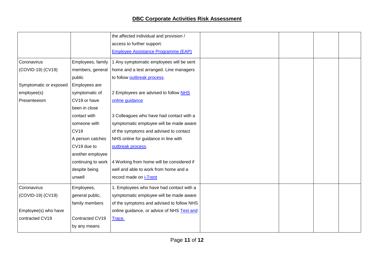|                        |                    | the affected individual and provision /    |  |  |
|------------------------|--------------------|--------------------------------------------|--|--|
|                        |                    | access to further support:                 |  |  |
|                        |                    | <b>Employee Assistance Programme (EAP)</b> |  |  |
| Coronavirus            | Employees, family  | 1 Any symptomatic employees will be sent   |  |  |
| (COVID-19) (CV19)      | members, general   | home and a test arranged. Line managers    |  |  |
|                        | public             | to follow outbreak process.                |  |  |
| Symptomatic or exposed | Employees are      |                                            |  |  |
| employee(s)            | symptomatic of     | 2 Employees are advised to follow NHS      |  |  |
| Presenteeism           | CV19 or have       | online guidance                            |  |  |
|                        | been in close      |                                            |  |  |
|                        | contact with       | 3 Colleagues who have had contact with a   |  |  |
|                        | someone with       | symptomatic employee will be made aware    |  |  |
|                        | <b>CV19</b>        | of the symptoms and advised to contact     |  |  |
|                        | A person catches   | NHS online for guidance in line with       |  |  |
|                        | CV19 due to        | outbreak process.                          |  |  |
|                        | another employee   |                                            |  |  |
|                        | continuing to work | 4 Working from home will be considered if  |  |  |
|                        | despite being      | well and able to work from home and a      |  |  |
|                        | unwell             | record made on i-Trent                     |  |  |
| Coronavirus            | Employees,         | 1. Employees who have had contact with a   |  |  |
| (COVID-19) (CV19)      | general public,    | symptomatic employee will be made aware    |  |  |
|                        | family members     | of the symptoms and advised to follow NHS  |  |  |
| Employee(s) who have   |                    | online guidance, or advice of NHS Test and |  |  |
| contracted CV19        | Contracted CV19    | Trace.                                     |  |  |
|                        | by any means       |                                            |  |  |